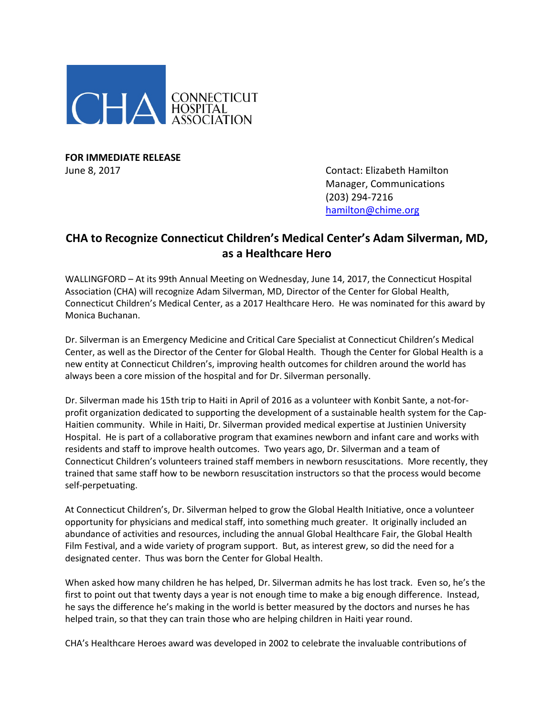

**FOR IMMEDIATE RELEASE**

June 8, 2017 Contact: Elizabeth Hamilton Manager, Communications (203) 294-7216 [hamilton@chime.org](mailto:hamilton@chime.org)

## **CHA to Recognize Connecticut Children's Medical Center's Adam Silverman, MD, as a Healthcare Hero**

WALLINGFORD – At its 99th Annual Meeting on Wednesday, June 14, 2017, the Connecticut Hospital Association (CHA) will recognize Adam Silverman, MD, Director of the Center for Global Health, Connecticut Children's Medical Center, as a 2017 Healthcare Hero. He was nominated for this award by Monica Buchanan.

Dr. Silverman is an Emergency Medicine and Critical Care Specialist at Connecticut Children's Medical Center, as well as the Director of the Center for Global Health. Though the Center for Global Health is a new entity at Connecticut Children's, improving health outcomes for children around the world has always been a core mission of the hospital and for Dr. Silverman personally.

Dr. Silverman made his 15th trip to Haiti in April of 2016 as a volunteer with Konbit Sante, a not-forprofit organization dedicated to supporting the development of a sustainable health system for the Cap-Haitien community. While in Haiti, Dr. Silverman provided medical expertise at Justinien University Hospital. He is part of a collaborative program that examines newborn and infant care and works with residents and staff to improve health outcomes. Two years ago, Dr. Silverman and a team of Connecticut Children's volunteers trained staff members in newborn resuscitations. More recently, they trained that same staff how to be newborn resuscitation instructors so that the process would become self-perpetuating.

At Connecticut Children's, Dr. Silverman helped to grow the Global Health Initiative, once a volunteer opportunity for physicians and medical staff, into something much greater. It originally included an abundance of activities and resources, including the annual Global Healthcare Fair, the Global Health Film Festival, and a wide variety of program support. But, as interest grew, so did the need for a designated center. Thus was born the Center for Global Health.

When asked how many children he has helped, Dr. Silverman admits he has lost track. Even so, he's the first to point out that twenty days a year is not enough time to make a big enough difference. Instead, he says the difference he's making in the world is better measured by the doctors and nurses he has helped train, so that they can train those who are helping children in Haiti year round.

CHA's Healthcare Heroes award was developed in 2002 to celebrate the invaluable contributions of